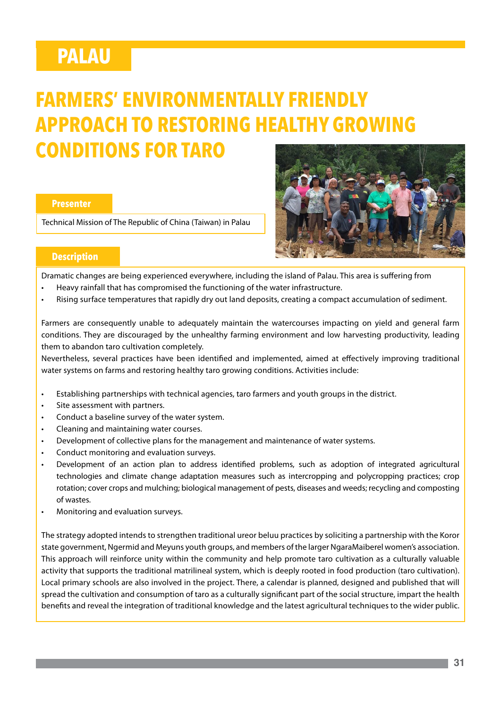# **PALAU**

# **FARMERS' ENVIRONMENTALLY FRIENDLY APPROACH TO RESTORING HEALTHY GROWING CONDITIONS FOR TARO**

#### **Presenter**

Technical Mission of The Republic of China (Taiwan) in Palau



## **Description**

Dramatic changes are being experienced everywhere, including the island of Palau. This area is suffering from

- Heavy rainfall that has compromised the functioning of the water infrastructure.
- Rising surface temperatures that rapidly dry out land deposits, creating a compact accumulation of sediment.

Farmers are consequently unable to adequately maintain the watercourses impacting on yield and general farm conditions. They are discouraged by the unhealthy farming environment and low harvesting productivity, leading them to abandon taro cultivation completely.

Nevertheless, several practices have been identified and implemented, aimed at effectively improving traditional water systems on farms and restoring healthy taro growing conditions. Activities include:

- Establishing partnerships with technical agencies, taro farmers and youth groups in the district.
- Site assessment with partners.
- Conduct a baseline survey of the water system.
- Cleaning and maintaining water courses.
- Development of collective plans for the management and maintenance of water systems.
- Conduct monitoring and evaluation surveys.
- Development of an action plan to address identified problems, such as adoption of integrated agricultural technologies and climate change adaptation measures such as intercropping and polycropping practices; crop rotation; cover crops and mulching; biological management of pests, diseases and weeds; recycling and composting of wastes.
- Monitoring and evaluation surveys.

The strategy adopted intends to strengthen traditional ureor beluu practices by soliciting a partnership with the Koror state government, Ngermid and Meyuns youth groups, and members of the larger NgaraMaiberel women's association. This approach will reinforce unity within the community and help promote taro cultivation as a culturally valuable activity that supports the traditional matrilineal system, which is deeply rooted in food production (taro cultivation). Local primary schools are also involved in the project. There, a calendar is planned, designed and published that will spread the cultivation and consumption of taro as a culturally significant part of the social structure, impart the health benefits and reveal the integration of traditional knowledge and the latest agricultural techniques to the wider public.